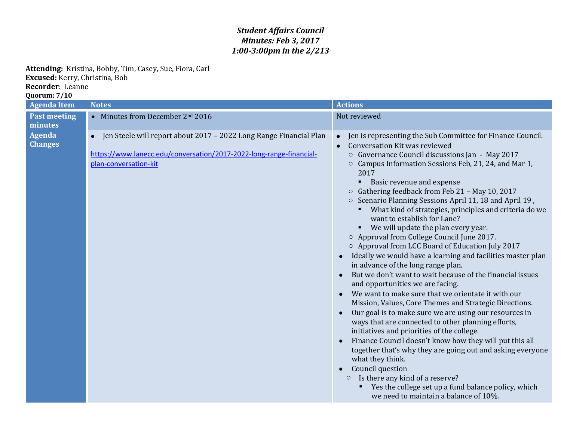## *Student Affairs Council Minutes: Feb 3, 2017 1:00-3:00pm in the 2/213*

**Attending:** Kristina, Bobby, Tim, Casey, Sue, Fiora, Carl **Excused:** Kerry, Christina, Bob **Recorder**: Leanne

**Quorum: 7/10**

| <b>Agenda Item</b>              | <b>Notes</b>                                                                                                                                                                    | <b>Actions</b>                                                                                                                                                                                                                                                                                                                                                                                                                                                                                                                                                                                                                                                                                                                                                                                                                                                                                                                                                                                                                                                                                                                                                                                                                                                                                                                                                                                                                              |
|---------------------------------|---------------------------------------------------------------------------------------------------------------------------------------------------------------------------------|---------------------------------------------------------------------------------------------------------------------------------------------------------------------------------------------------------------------------------------------------------------------------------------------------------------------------------------------------------------------------------------------------------------------------------------------------------------------------------------------------------------------------------------------------------------------------------------------------------------------------------------------------------------------------------------------------------------------------------------------------------------------------------------------------------------------------------------------------------------------------------------------------------------------------------------------------------------------------------------------------------------------------------------------------------------------------------------------------------------------------------------------------------------------------------------------------------------------------------------------------------------------------------------------------------------------------------------------------------------------------------------------------------------------------------------------|
| <b>Past meeting</b><br>minutes  | • Minutes from December 2nd 2016                                                                                                                                                | Not reviewed                                                                                                                                                                                                                                                                                                                                                                                                                                                                                                                                                                                                                                                                                                                                                                                                                                                                                                                                                                                                                                                                                                                                                                                                                                                                                                                                                                                                                                |
| <b>Agenda</b><br><b>Changes</b> | Jen Steele will report about 2017 - 2022 Long Range Financial Plan<br>$\bullet$<br>https://www.lanecc.edu/conversation/2017-2022-long-range-financial-<br>plan-conversation-kit | Jen is representing the Sub Committee for Finance Council.<br>$\bullet$<br>Conversation Kit was reviewed<br>$\bullet$<br>○ Governance Council discussions Jan - May 2017<br>Campus Information Sessions Feb, 21, 24, and Mar 1,<br>$\circ$<br>2017<br>Basic revenue and expense<br>Gathering feedback from Feb 21 - May 10, 2017<br>$\circ$<br>○ Scenario Planning Sessions April 11, 18 and April 19,<br>What kind of strategies, principles and criteria do we<br>want to establish for Lane?<br>We will update the plan every year.<br>○ Approval from College Council June 2017.<br>○ Approval from LCC Board of Education July 2017<br>Ideally we would have a learning and facilities master plan<br>in advance of the long range plan.<br>But we don't want to wait because of the financial issues<br>and opportunities we are facing.<br>We want to make sure that we orientate it with our<br>Mission, Values, Core Themes and Strategic Directions.<br>Our goal is to make sure we are using our resources in<br>ways that are connected to other planning efforts,<br>initiatives and priorities of the college.<br>Finance Council doesn't know how they will put this all<br>together that's why they are going out and asking everyone<br>what they think.<br>Council question<br>Is there any kind of a reserve?<br>$\circ$<br>Yes the college set up a fund balance policy, which<br>we need to maintain a balance of 10%. |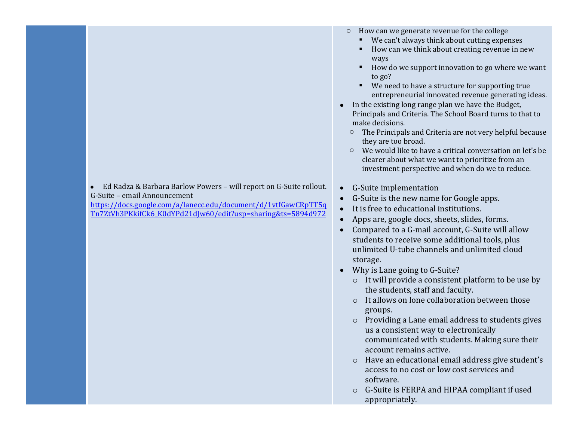Ed Radza & Barbara Barlow Powers – will report on G-Suite rollout. G-Suite – email Announcement

[https://docs.google.com/a/lanecc.edu/document/d/1vtfGawCRpTT5q](https://docs.google.com/a/lanecc.edu/document/d/1vtfGawCRpTT5qTn7ZtVh3PKkifCk6_K0dYPd21dJw60/edit?usp=sharing&ts=5894d972) [Tn7ZtVh3PKkifCk6\\_K0dYPd21dJw60/edit?usp=sharing&ts=5894d972](https://docs.google.com/a/lanecc.edu/document/d/1vtfGawCRpTT5qTn7ZtVh3PKkifCk6_K0dYPd21dJw60/edit?usp=sharing&ts=5894d972)

- o How can we generate revenue for the college
	- We can't always think about cutting expenses
	- How can we think about creating revenue in new ways
	- How do we support innovation to go where we want to go?
	- We need to have a structure for supporting true entrepreneurial innovated revenue generating ideas.
- In the existing long range plan we have the Budget, Principals and Criteria. The School Board turns to that to make decisions.
	- o The Principals and Criteria are not very helpful because they are too broad.
	- o We would like to have a critical conversation on let's be clearer about what we want to prioritize from an investment perspective and when do we to reduce.
- G-Suite implementation
- G-Suite is the new name for Google apps.
- It is free to educational institutions.
- Apps are, google docs, sheets, slides, forms.
- Compared to a G-mail account, G-Suite will allow students to receive some additional tools, plus unlimited U-tube channels and unlimited cloud storage.
- Why is Lane going to G-Suite?
	- o It will provide a consistent platform to be use by the students, staff and faculty.
	- o It allows on lone collaboration between those groups.
	- o Providing a Lane email address to students gives us a consistent way to electronically communicated with students. Making sure their account remains active.
	- o Have an educational email address give student's access to no cost or low cost services and software.
	- o G-Suite is FERPA and HIPAA compliant if used appropriately.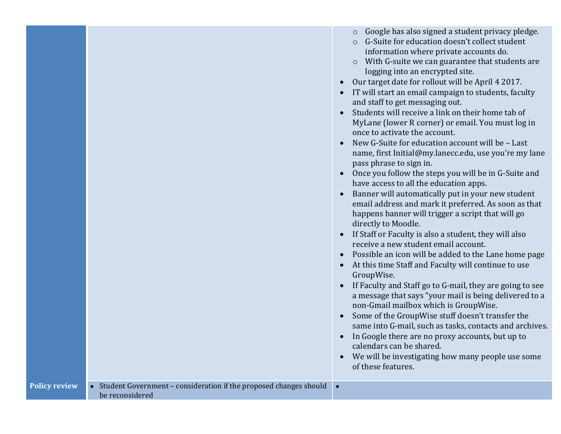|  | Google has also signed a student privacy pledge. |  |
|--|--------------------------------------------------|--|
|  |                                                  |  |

- o G-Suite for education doesn't collect student information where private accounts do.
- o With G-suite we can guarantee that students are logging into an encrypted site.
- Our target date for rollout will be April 4 2017.
- IT will start an email campaign to students, faculty and staff to get messaging out.
- Students will receive a link on their home tab of MyLane (lower R corner) or email. You must log in once to activate the account.
- New G-Suite for education account will be Last name, first Initial@my.lanecc.edu, use you're my lane pass phrase to sign in.
- Once you follow the steps you will be in G-Suite and have access to all the education apps.
- Banner will automatically put in your new student email address and mark it preferred. As soon as that happens banner will trigger a script that will go directly to Moodle.
- If Staff or Faculty is also a student, they will also receive a new student email account.
- Possible an icon will be added to the Lane home page
- At this time Staff and Faculty will continue to use GroupWise.
- If Faculty and Staff go to G-mail, they are going to see a message that says "your mail is being delivered to a non-Gmail mailbox which is GroupWise.
- Some of the GroupWise stuff doesn't transfer the same into G-mail, such as tasks, contacts and archives.
- In Google there are no proxy accounts, but up to calendars can be shared.
- We will be investigating how many people use some of these features.